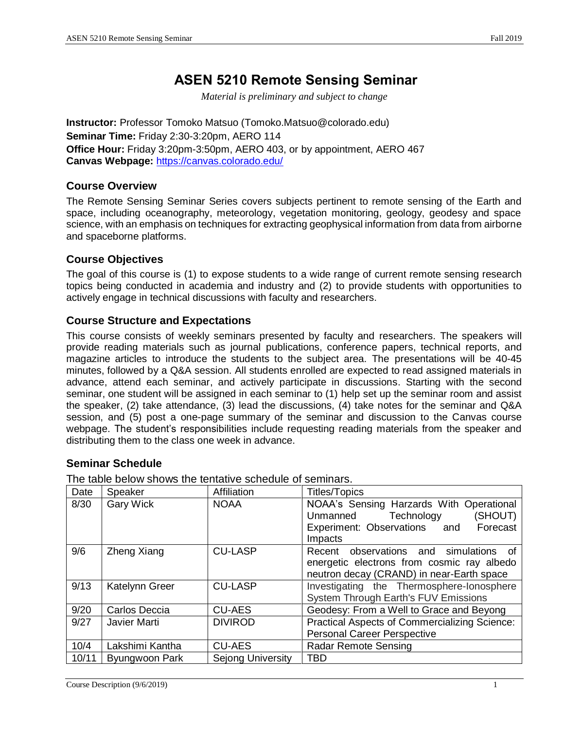# **ASEN 5210 Remote Sensing Seminar**

*Material is preliminary and subject to change*

**Instructor:** Professor Tomoko Matsuo (Tomoko.Matsuo@colorado.edu) **Seminar Time:** Friday 2:30-3:20pm, AERO 114 **Office Hour:** Friday 3:20pm-3:50pm, AERO 403, or by appointment, AERO 467 **Canvas Webpage:** https://canvas.colorado.edu/

### **Course Overview**

The Remote Sensing Seminar Series covers subjects pertinent to remote sensing of the Earth and space, including oceanography, meteorology, vegetation monitoring, geology, geodesy and space science, with an emphasis on techniques for extracting geophysical information from data from airborne and spaceborne platforms.

#### **Course Objectives**

The goal of this course is (1) to expose students to a wide range of current remote sensing research topics being conducted in academia and industry and (2) to provide students with opportunities to actively engage in technical discussions with faculty and researchers.

### **Course Structure and Expectations**

This course consists of weekly seminars presented by faculty and researchers. The speakers will provide reading materials such as journal publications, conference papers, technical reports, and magazine articles to introduce the students to the subject area. The presentations will be 40-45 minutes, followed by a Q&A session. All students enrolled are expected to read assigned materials in advance, attend each seminar, and actively participate in discussions. Starting with the second seminar, one student will be assigned in each seminar to (1) help set up the seminar room and assist the speaker, (2) take attendance, (3) lead the discussions, (4) take notes for the seminar and Q&A session, and (5) post a one-page summary of the seminar and discussion to the Canvas course webpage. The student's responsibilities include requesting reading materials from the speaker and distributing them to the class one week in advance.

### **Seminar Schedule**

| Date  | Speaker            | Affiliation              | <b>Titles/Topics</b>                                                                                                                     |
|-------|--------------------|--------------------------|------------------------------------------------------------------------------------------------------------------------------------------|
| 8/30  | <b>Gary Wick</b>   | <b>NOAA</b>              | NOAA's Sensing Harzards With Operational<br>Unmanned<br>Technology<br>(SHOUT)<br>Experiment: Observations and<br>Forecast<br>Impacts     |
| 9/6   | <b>Zheng Xiang</b> | <b>CU-LASP</b>           | observations and simulations<br>Recent<br>_ot<br>energetic electrons from cosmic ray albedo<br>neutron decay (CRAND) in near-Earth space |
| 9/13  | Katelynn Greer     | <b>CU-LASP</b>           | Investigating the Thermosphere-Ionosphere<br>System Through Earth's FUV Emissions                                                        |
| 9/20  | Carlos Deccia      | <b>CU-AES</b>            | Geodesy: From a Well to Grace and Beyong                                                                                                 |
| 9/27  | Javier Marti       | <b>DIVIROD</b>           | Practical Aspects of Commercializing Science:<br><b>Personal Career Perspective</b>                                                      |
| 10/4  | Lakshimi Kantha    | <b>CU-AES</b>            | <b>Radar Remote Sensing</b>                                                                                                              |
| 10/11 | Byungwoon Park     | <b>Sejong University</b> | <b>TBD</b>                                                                                                                               |

The table below shows the tentative schedule of seminars.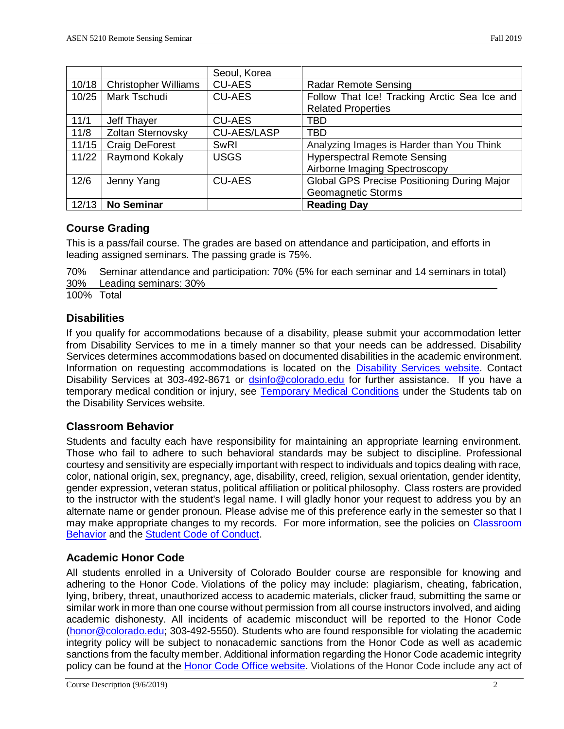|       |                             | Seoul, Korea       |                                                    |
|-------|-----------------------------|--------------------|----------------------------------------------------|
| 10/18 | <b>Christopher Williams</b> | <b>CU-AES</b>      | <b>Radar Remote Sensing</b>                        |
| 10/25 | Mark Tschudi                | <b>CU-AES</b>      | Follow That Ice! Tracking Arctic Sea Ice and       |
|       |                             |                    | <b>Related Properties</b>                          |
| 11/1  | Jeff Thayer                 | <b>CU-AES</b>      | TBD                                                |
| 11/8  | Zoltan Sternovsky           | <b>CU-AES/LASP</b> | <b>TBD</b>                                         |
| 11/15 | <b>Craig DeForest</b>       | <b>SwRI</b>        | Analyzing Images is Harder than You Think          |
| 11/22 | Raymond Kokaly              | <b>USGS</b>        | <b>Hyperspectral Remote Sensing</b>                |
|       |                             |                    | Airborne Imaging Spectroscopy                      |
| 12/6  | Jenny Yang                  | <b>CU-AES</b>      | <b>Global GPS Precise Positioning During Major</b> |
|       |                             |                    | <b>Geomagnetic Storms</b>                          |
| 12/13 | <b>No Seminar</b>           |                    | <b>Reading Day</b>                                 |

### **Course Grading**

This is a pass/fail course. The grades are based on attendance and participation, and efforts in leading assigned seminars. The passing grade is 75%.

70% Seminar attendance and participation: 70% (5% for each seminar and 14 seminars in total) 30% Leading seminars: 30%

100% Total

### **Disabilities**

If you qualify for accommodations because of a disability, please submit your accommodation letter from Disability Services to me in a timely manner so that your needs can be addressed. Disability Services determines accommodations based on documented disabilities in the academic environment. Information on requesting accommodations is located on the [Disability Services website.](http://www.colorado.edu/disabilityservices/students) Contact Disability Services at 303-492-8671 or [dsinfo@colorado.edu](mailto:dsinfo@colorado.edu) for further assistance. If you have a temporary medical condition or injury, see [Temporary Medical Conditions](http://www.colorado.edu/disabilityservices/students/temporary-medical-conditions) under the Students tab on the Disability Services website.

### **Classroom Behavior**

Students and faculty each have responsibility for maintaining an appropriate learning environment. Those who fail to adhere to such behavioral standards may be subject to discipline. Professional courtesy and sensitivity are especially important with respect to individuals and topics dealing with race, color, national origin, sex, pregnancy, age, disability, creed, religion, sexual orientation, gender identity, gender expression, veteran status, political affiliation or political philosophy. Class rosters are provided to the instructor with the student's legal name. I will gladly honor your request to address you by an alternate name or gender pronoun. Please advise me of this preference early in the semester so that I may make appropriate changes to my records. For more information, see the policies on [Classroom](http://www.colorado.edu/policies/student-classroom-and-course-related-behavior)  [Behavior](http://www.colorado.edu/policies/student-classroom-and-course-related-behavior) and the [Student Code of Conduct.](http://www.colorado.edu/osccr/)

## **Academic Honor Code**

All students enrolled in a University of Colorado Boulder course are responsible for knowing and adhering to the Honor Code. Violations of the policy may include: plagiarism, cheating, fabrication, lying, bribery, threat, unauthorized access to academic materials, clicker fraud, submitting the same or similar work in more than one course without permission from all course instructors involved, and aiding academic dishonesty. All incidents of academic misconduct will be reported to the Honor Code [\(honor@colorado.edu;](mailto:honor@colorado.edu) 303-492-5550). Students who are found responsible for violating the academic integrity policy will be subject to nonacademic sanctions from the Honor Code as well as academic sanctions from the faculty member. Additional information regarding the Honor Code academic integrity policy can be found at the [Honor Code Office website.](https://www.colorado.edu/osccr/honor-code) Violations of the Honor Code include any act of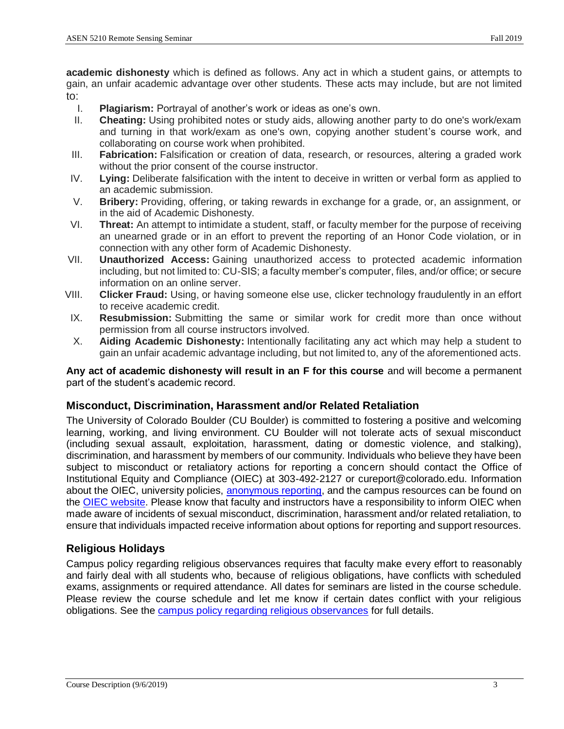**academic dishonesty** which is defined as follows. Any act in which a student gains, or attempts to gain, an unfair academic advantage over other students. These acts may include, but are not limited to:

- I. **Plagiarism:** Portrayal of another's work or ideas as one's own.
- II. **Cheating:** Using prohibited notes or study aids, allowing another party to do one's work/exam and turning in that work/exam as one's own, copying another student's course work, and collaborating on course work when prohibited.
- III. **Fabrication:** Falsification or creation of data, research, or resources, altering a graded work without the prior consent of the course instructor.
- IV. **Lying:** Deliberate falsification with the intent to deceive in written or verbal form as applied to an academic submission.
- V. **Bribery:** Providing, offering, or taking rewards in exchange for a grade, or, an assignment, or in the aid of Academic Dishonesty.
- VI. **Threat:** An attempt to intimidate a student, staff, or faculty member for the purpose of receiving an unearned grade or in an effort to prevent the reporting of an Honor Code violation, or in connection with any other form of Academic Dishonesty.
- VII. **Unauthorized Access:** Gaining unauthorized access to protected academic information including, but not limited to: CU-SIS; a faculty member's computer, files, and/or office; or secure information on an online server.
- VIII. **Clicker Fraud:** Using, or having someone else use, clicker technology fraudulently in an effort to receive academic credit.
- IX. **Resubmission:** Submitting the same or similar work for credit more than once without permission from all course instructors involved.
- X. **Aiding Academic Dishonesty:** Intentionally facilitating any act which may help a student to gain an unfair academic advantage including, but not limited to, any of the aforementioned acts.

**Any act of academic dishonesty will result in an F for this course** and will become a permanent part of the student's academic record.

### **Misconduct, Discrimination, Harassment and/or Related Retaliation**

The University of Colorado Boulder (CU Boulder) is committed to fostering a positive and welcoming learning, working, and living environment. CU Boulder will not tolerate acts of sexual misconduct (including sexual assault, exploitation, harassment, dating or domestic violence, and stalking), discrimination, and harassment by members of our community. Individuals who believe they have been subject to misconduct or retaliatory actions for reporting a concern should contact the Office of Institutional Equity and Compliance (OIEC) at 303-492-2127 or cureport@colorado.edu. Information about the OIEC, university policies, [anonymous reporting,](https://cuboulder.qualtrics.com/jfe/form/SV_0PnqVK4kkIJIZnf) and the campus resources can be found on the [OIEC website.](http://www.colorado.edu/institutionalequity/) Please know that faculty and instructors have a responsibility to inform OIEC when made aware of incidents of sexual misconduct, discrimination, harassment and/or related retaliation, to ensure that individuals impacted receive information about options for reporting and support resources.

### **Religious Holidays**

Campus policy regarding religious observances requires that faculty make every effort to reasonably and fairly deal with all students who, because of religious obligations, have conflicts with scheduled exams, assignments or required attendance. All dates for seminars are listed in the course schedule. Please review the course schedule and let me know if certain dates conflict with your religious obligations. See the [campus policy regarding religious observances](http://www.colorado.edu/policies/observance-religious-holidays-and-absences-classes-andor-exams) for full details.